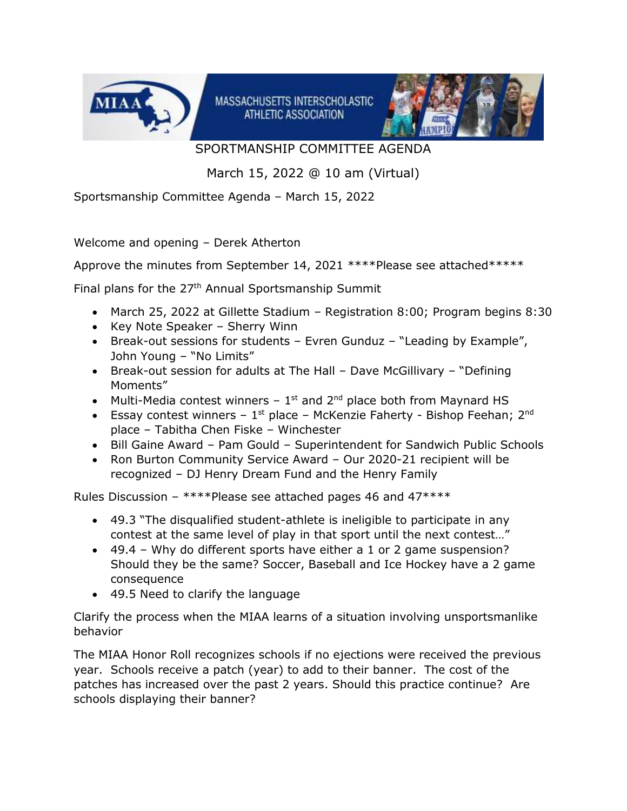

MASSACHUSETTS INTERSCHOLASTIC ATHLETIC ASSOCIATION



SPORTMANSHIP COMMITTEE AGENDA

March 15, 2022 @ 10 am (Virtual)

Sportsmanship Committee Agenda – March 15, 2022

Welcome and opening – Derek Atherton

Approve the minutes from September 14, 2021 \*\*\*\*Please see attached\*\*\*\*\*

Final plans for the 27th Annual Sportsmanship Summit

- March 25, 2022 at Gillette Stadium Registration 8:00; Program begins 8:30
- Key Note Speaker Sherry Winn
- Break-out sessions for students Evren Gunduz "Leading by Example", John Young – "No Limits"
- Break-out session for adults at The Hall Dave McGillivary "Defining Moments"
- Multi-Media contest winners  $-1$ <sup>st</sup> and  $2<sup>nd</sup>$  place both from Maynard HS
- Essay contest winners  $1^{st}$  place McKenzie Faherty Bishop Feehan;  $2^{nd}$ place – Tabitha Chen Fiske – Winchester
- Bill Gaine Award Pam Gould Superintendent for Sandwich Public Schools
- Ron Burton Community Service Award Our 2020-21 recipient will be recognized – DJ Henry Dream Fund and the Henry Family

Rules Discussion – \*\*\*\*Please see attached pages 46 and 47\*\*\*\*

- 49.3 "The disqualified student-athlete is ineligible to participate in any contest at the same level of play in that sport until the next contest…"
- 49.4 Why do different sports have either a 1 or 2 game suspension? Should they be the same? Soccer, Baseball and Ice Hockey have a 2 game consequence
- 49.5 Need to clarify the language

Clarify the process when the MIAA learns of a situation involving unsportsmanlike behavior

The MIAA Honor Roll recognizes schools if no ejections were received the previous year. Schools receive a patch (year) to add to their banner. The cost of the patches has increased over the past 2 years. Should this practice continue? Are schools displaying their banner?